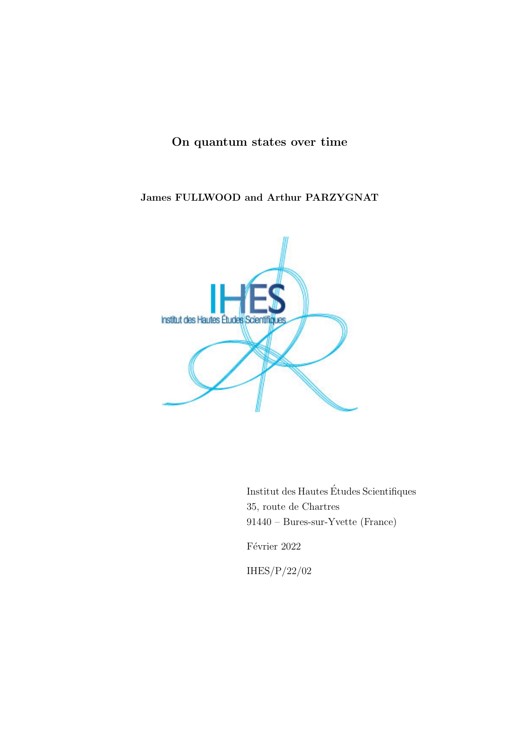## On quantum states over time

#### James FULLWOOD and Arthur PARZYGNAT



Institut des Hautes Etudes Scientifiques ´ 35, route de Chartres 91440 – Bures-sur-Yvette (France)

Février 2022

IHES/P/22/02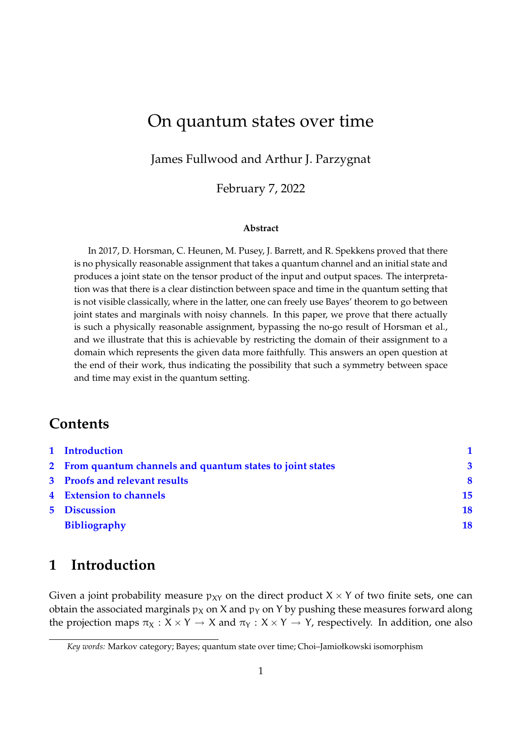# On quantum states over time

James Fullwood and Arthur J. Parzygnat

February 7, 2022

#### **Abstract**

In 2017, D. Horsman, C. Heunen, M. Pusey, J. Barrett, and R. Spekkens proved that there is no physically reasonable assignment that takes a quantum channel and an initial state and produces a joint state on the tensor product of the input and output spaces. The interpretation was that there is a clear distinction between space and time in the quantum setting that is not visible classically, where in the latter, one can freely use Bayes' theorem to go between joint states and marginals with noisy channels. In this paper, we prove that there actually is such a physically reasonable assignment, bypassing the no-go result of Horsman et al., and we illustrate that this is achievable by restricting the domain of their assignment to a domain which represents the given data more faithfully. This answers an open question at the end of their work, thus indicating the possibility that such a symmetry between space and time may exist in the quantum setting.

### **Contents**

|  | 1 Introduction                                             |                         |
|--|------------------------------------------------------------|-------------------------|
|  | 2 From quantum channels and quantum states to joint states | $\overline{\mathbf{3}}$ |
|  | 3 Proofs and relevant results                              | $\mathbf 8$             |
|  | 4 Extension to channels                                    | 15                      |
|  | <b>5</b> Discussion                                        | 18                      |
|  | <b>Bibliography</b>                                        | 18                      |

# **1 Introduction**

Given a joint probability measure  $p_{XY}$  on the direct product  $X \times Y$  of two finite sets, one can obtain the associated marginals  $p<sub>X</sub>$  on X and  $p<sub>Y</sub>$  on Y by pushing these measures forward along the projection maps  $\pi_X : X \times Y \to X$  and  $\pi_Y : X \times Y \to Y$ , respectively. In addition, one also

*Key words:* Markov category; Bayes; quantum state over time; Choi–Jamiołkowski isomorphism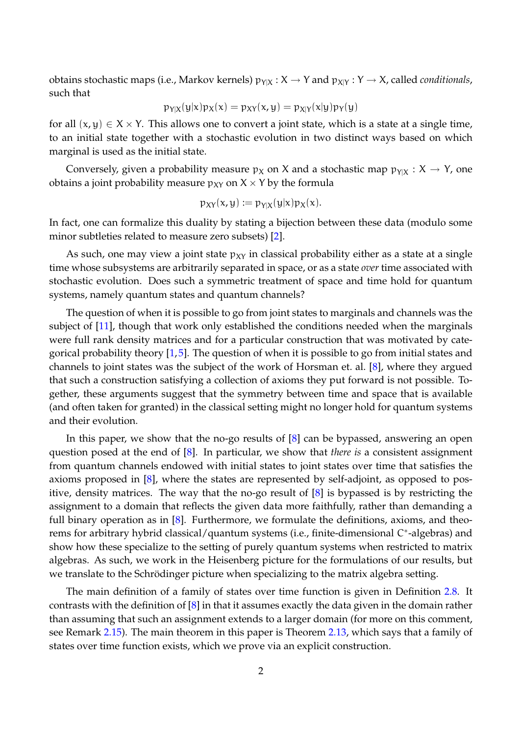obtains stochastic maps (i.e., Markov kernels)  $p_{Y|X}:X\to Y$  and  $p_{X|Y}:Y\to X$ , called *conditionals*, such that

$$
p_{Y|X}(y|x)p_X(x) = p_{XY}(x,y) = p_{X|Y}(x|y)p_Y(y)
$$

for all  $(x, y) \in X \times Y$ . This allows one to convert a joint state, which is a state at a single time, to an initial state together with a stochastic evolution in two distinct ways based on which marginal is used as the initial state.

Conversely, given a probability measure  $p_X$  on X and a stochastic map  $p_{Y|X} : X \to Y$ , one obtains a joint probability measure  $p_{XY}$  on  $X \times Y$  by the formula

$$
p_{XY}(x,y) := p_{Y|X}(y|x)p_X(x).
$$

In fact, one can formalize this duality by stating a bijection between these data (modulo some minor subtleties related to measure zero subsets) [2].

As such, one may view a joint state  $p_{XY}$  in classical probability either as a state at a single time whose subsystems are arbitrarily separated in space, or as a state *over* time associated with stochastic evolution. Does such a symmetric treatment of space and time hold for quantum systems, namely quantum states and quantum channels?

The question of when it is possible to go from joint states to marginals and channels was the subject of [11], though that work only established the conditions needed when the marginals were full rank density matrices and for a particular construction that was motivated by categorical probability theory [1,5]. The question of when it is possible to go from initial states and channels to joint states was the subject of the work of Horsman et. al. [8], where they argued that such a construction satisfying a collection of axioms they put forward is not possible. Together, these arguments suggest that the symmetry between time and space that is available (and often taken for granted) in the classical setting might no longer hold for quantum systems and their evolution.

In this paper, we show that the no-go results of  $[8]$  can be bypassed, answering an open question posed at the end of [8]. In particular, we show that *there is* a consistent assignment from quantum channels endowed with initial states to joint states over time that satisfies the axioms proposed in [8], where the states are represented by self-adjoint, as opposed to positive, density matrices. The way that the no-go result of [8] is bypassed is by restricting the assignment to a domain that reflects the given data more faithfully, rather than demanding a full binary operation as in  $[8]$ . Furthermore, we formulate the definitions, axioms, and theorems for arbitrary hybrid classical/quantum systems (i.e., finite-dimensional C<sup>\*</sup>-algebras) and show how these specialize to the setting of purely quantum systems when restricted to matrix algebras. As such, we work in the Heisenberg picture for the formulations of our results, but we translate to the Schrödinger picture when specializing to the matrix algebra setting.

The main definition of a family of states over time function is given in Definition 2.8. It contrasts with the definition of [8] in that it assumes exactly the data given in the domain rather than assuming that such an assignment extends to a larger domain (for more on this comment, see Remark 2.15). The main theorem in this paper is Theorem 2.13, which says that a family of states over time function exists, which we prove via an explicit construction.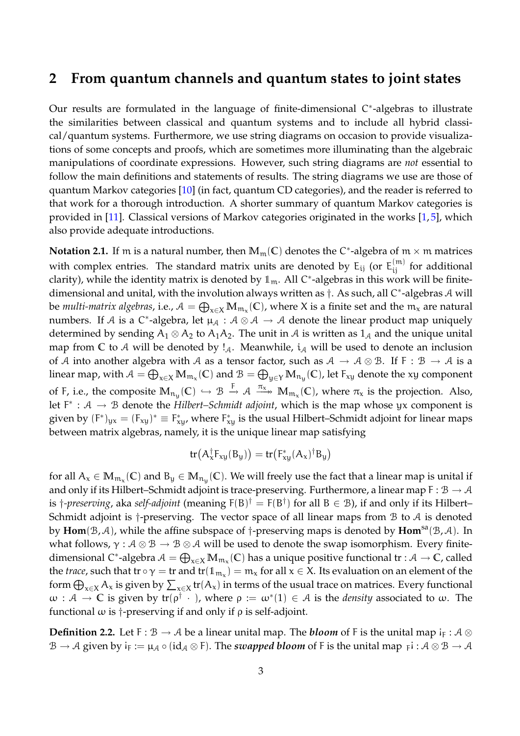#### **2 From quantum channels and quantum states to joint states**

Our results are formulated in the language of finite-dimensional C<sup>\*</sup>-algebras to illustrate the similarities between classical and quantum systems and to include all hybrid classical/quantum systems. Furthermore, we use string diagrams on occasion to provide visualizations of some concepts and proofs, which are sometimes more illuminating than the algebraic manipulations of coordinate expressions. However, such string diagrams are *not* essential to follow the main definitions and statements of results. The string diagrams we use are those of quantum Markov categories [10] (in fact, quantum CD categories), and the reader is referred to that work for a thorough introduction. A shorter summary of quantum Markov categories is provided in [11]. Classical versions of Markov categories originated in the works [1, 5], which also provide adequate introductions.

**Notation 2.1.** If  $m$  is a natural number, then  $M_m(\mathbb{C})$  denotes the C<sup>\*</sup>-algebra of  $m \times m$  matrices with complex entries. The standard matrix units are denoted by  $\mathsf{E}_{\mathsf{i}\mathsf{j}}$  (or  $\mathsf{E}_{\mathsf{i}\mathsf{j}}^{(\mathsf{m})}$  for additional clarity), while the identity matrix is denoted by  $1_m$ . All C\*-algebras in this work will be finitedimensional and unital, with the involution always written as †. As such, all C<sup>∗</sup>-algebras A will be *multi-matrix algebras,* i.e.,  $\mathcal{A}=\bigoplus_{x\in X}\mathbb{M}_{\mathfrak{m}_x}(\mathbb{C})$ , where X is a finite set and the  $\mathfrak{m}_x$  are natural numbers. If A is a C<sup>\*</sup>-algebra, let  $\mu_{\mathcal{A}}: \mathcal{A} \otimes \mathcal{A} \to \mathcal{A}$  denote the linear product map uniquely determined by sending  $A_1 \otimes A_2$  to  $A_1A_2$ . The unit in A is written as  $1_A$  and the unique unital map from  $\mathbb C$  to A will be denoted by  $\mathcal I_A$ . Meanwhile,  $\mathfrak i_A$  will be used to denote an inclusion of A into another algebra with A as a tensor factor, such as  $A \to A \otimes B$ . If F :  $B \to A$  is a linear map, with  $\mathcal{A}=\bigoplus_{x\in X}\mathbb{M}_{\mathfrak{m}_{\chi}}(\mathbb{C})$  and  $\mathcal{B}=\bigoplus_{y\in Y}\mathbb{M}_{\mathfrak{n}_y}(\mathbb{C})$ , let  $\mathsf{F}_{xy}$  denote the xy component of F, i.e., the composite  $\mathbb{M}_{\mathfrak{n}_\mathfrak{y}}(\mathbb{C}) \hookrightarrow \mathfrak{B} \stackrel{\mathsf{F}}{\rightarrow} \mathcal{A} \stackrel{\pi_\mathsf{x}}{\longrightarrow} \mathbb{M}_{\mathfrak{m}_\mathsf{x}}(\mathbb{C})$ , where  $\pi_\mathsf{x}$  is the projection. Also, let  $F^* : A \to B$  denote the *Hilbert–Schmidt adjoint*, which is the map whose yx component is given by  $(F^*)_{yx} = (F_{xy})^* \equiv F_{xy}^*$ , where  $F_{xy}^*$  is the usual Hilbert–Schmidt adjoint for linear maps between matrix algebras, namely, it is the unique linear map satisfying

$$
tr(A_x^{\dagger}F_{xy}(B_y)) = tr(F_{xy}^*(A_x)^{\dagger}B_y)
$$

for all  $A_x\in M_{\mathfrak{m}_x}(\mathbb{C})$  and  $B_y\in M_{\mathfrak{n}_y}(\mathbb{C}).$  We will freely use the fact that a linear map is unital if and only if its Hilbert–Schmidt adjoint is trace-preserving. Furthermore, a linear map  $F : \mathcal{B} \to \mathcal{A}$ is †-preserving, aka self-adjoint (meaning F(B)<sup>†</sup> = F(B<sup>†</sup>) for all B  $\in$  B), if and only if its Hilbert– Schmidt adjoint is  $\dagger$ -preserving. The vector space of all linear maps from  $\beta$  to  $\beta$  is denoted by **Hom**(B, A), while the affine subspace of †-preserving maps is denoted by **Hom**sa(B, A). In what follows,  $\gamma : \mathcal{A} \otimes \mathcal{B} \to \mathcal{B} \otimes \mathcal{A}$  will be used to denote the swap isomorphism. Every finitedimensional C\*-algebra  $A = \bigoplus_{x \in X} M_{m_x}(\mathbb{C})$  has a unique positive functional  $tr : A \to \mathbb{C}$ , called the *trace*, such that tr  $\circ \gamma =$  tr and tr( $\mathbb{1}_{m_x}$ ) =  $m_x$  for all  $x \in X$ . Its evaluation on an element of the form  $\bigoplus_{x\in X}A_x$  is given by  $\sum_{x\in X}\text{tr}(A_x)$  in terms of the usual trace on matrices. Every functional  $\omega: \mathcal{A} \to \mathbb{C}$  is given by  $tr(\rho^{\dagger} \cdot \cdot)$ , where  $\rho := \omega^*(1) \in \mathcal{A}$  is the *density* associated to  $\omega$ . The functional  $\omega$  is  $\dagger$ -preserving if and only if  $\rho$  is self-adjoint.

**Definition 2.2.** Let F :  $B \to A$  be a linear unital map. The *bloom* of F is the unital map i<sub>F</sub> :  $A \otimes$  $\mathcal B\to\mathcal A$  given by  $\mathsf i_{\mathsf F}:=\mu_\mathcal A\circ(\mathsf{id}_\mathcal A\otimes\mathsf F).$  The *swapped bloom* of F is the unital map  $_\mathsf F\mathsf i:\mathcal A\otimes\mathcal B\to\mathcal A$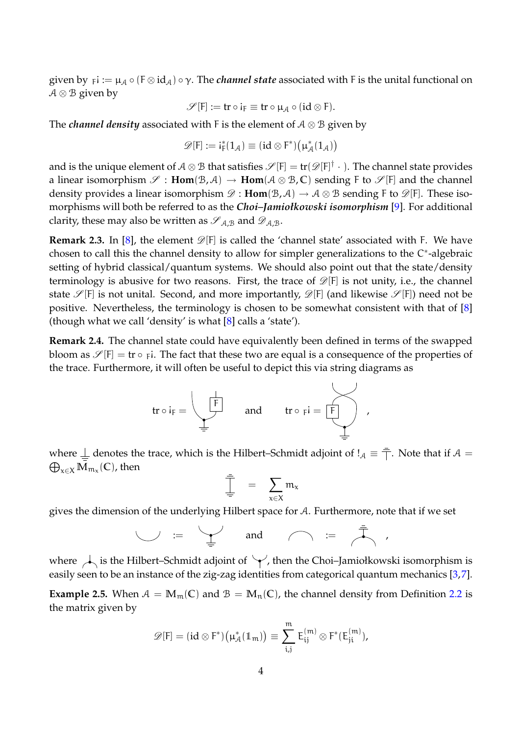given by  $_{\sf F}$ i :=  $\mu_\mathcal{A}\circ (\mathsf{F}\otimes \mathrm{id}_\mathcal{A})\circ \gamma.$  The *channel state* associated with F is the unital functional on  $A \otimes B$  given by

$$
\mathscr{S}[F] := \text{tr} \circ i_F \equiv \text{tr} \circ \mu_{\mathcal{A}} \circ (\text{id} \otimes F).
$$

The *channel density* associated with F is the element of A ⊗ B given by

$$
\mathscr{D}[F] := i_F^*(1_{\mathcal{A}}) \equiv (id \otimes F^*) \big( \mu_{\mathcal{A}}^*(1_{\mathcal{A}}) \big)
$$

and is the unique element of  $\mathcal{A}\otimes\mathcal{B}$  that satisfies  $\mathscr{S}[F]=\mathop{ \rm tr}(\mathscr{D} [F]^\dag\ \cdot\ ) .$  The channel state provides a linear isomorphism  $\mathscr{S}$ : **Hom** $(\mathscr{B}, \mathscr{A}) \to$  **Hom** $(\mathscr{A} \otimes \mathscr{B}, \mathbb{C})$  sending F to  $\mathscr{S}$  [F] and the channel density provides a linear isomorphism  $\mathscr{D}$  :  $\text{Hom}(\mathcal{B}, \mathcal{A}) \to \mathcal{A} \otimes \mathcal{B}$  sending F to  $\mathscr{D}[F]$ . These isomorphisms will both be referred to as the *Choi–Jamiołkowski isomorphism* [9]. For additional clarity, these may also be written as  $\mathscr{S}_{A,B}$  and  $\mathscr{D}_{A,B}$ .

**Remark 2.3.** In [8], the element  $\mathscr{D}[F]$  is called the 'channel state' associated with F. We have chosen to call this the channel density to allow for simpler generalizations to the C<sup>\*</sup>-algebraic setting of hybrid classical/quantum systems. We should also point out that the state/density terminology is abusive for two reasons. First, the trace of  $\mathscr{D}[F]$  is not unity, i.e., the channel state  $\mathscr{S}[F]$  is not unital. Second, and more importantly,  $\mathscr{D}[F]$  (and likewise  $\mathscr{S}[F]$ ) need not be positive. Nevertheless, the terminology is chosen to be somewhat consistent with that of [8] (though what we call 'density' is what [8] calls a 'state').

**Remark 2.4.** The channel state could have equivalently been defined in terms of the swapped bloom as  $\mathscr{S}[F] = \text{tr} \circ \varepsilon_F$ i. The fact that these two are equal is a consequence of the properties of the trace. Furthermore, it will often be useful to depict this via string diagrams as

$$
\text{tr}\circ i_F=\left\{\begin{array}{ccc}\frac{\vdash}{F}&\text{and}&\text{tr}\circ_Fi=\overbrace{F}\\ \frac{\vdash}{F}&\text{and}&\text{tr}\circ_Fi=\overbrace{F}\\ \end{array}\right.,
$$

where  $\perp$  denotes the trace, which is the Hilbert–Schmidt adjoint of  $!_A \equiv \frac{1}{\Box}$ . Note that if  $A =$  $\bigoplus_{\mathsf{x}\in\mathsf{X}}\mathbb{M}_{\mathfrak{m}_\mathsf{x}}(\mathbb{C})$ , then L.

$$
\frac{1}{\frac{1}{x}} = \sum_{x \in X} m_x
$$

gives the dimension of the underlying Hilbert space for A. Furthermore, note that if we set

:= and := ,

where  $\overrightarrow{A}$  is the Hilbert–Schmidt adjoint of  $\forall$ , then the Choi–Jamiołkowski isomorphism is easily seen to be an instance of the zig-zag identities from categorical quantum mechanics [3,7].

**Example 2.5.** When  $A = M_m(C)$  and  $B = M_n(C)$ , the channel density from Definition 2.2 is the matrix given by

$$
\mathscr{D}[F] = (id \otimes F^*) \big( \mu_{\mathcal{A}}^*(1\hskip-3.5pt1_{m}) \big) \equiv \sum_{i,j}^m \, E_{ij}^{(m)} \otimes F^*(E_{ji}^{(m)}),
$$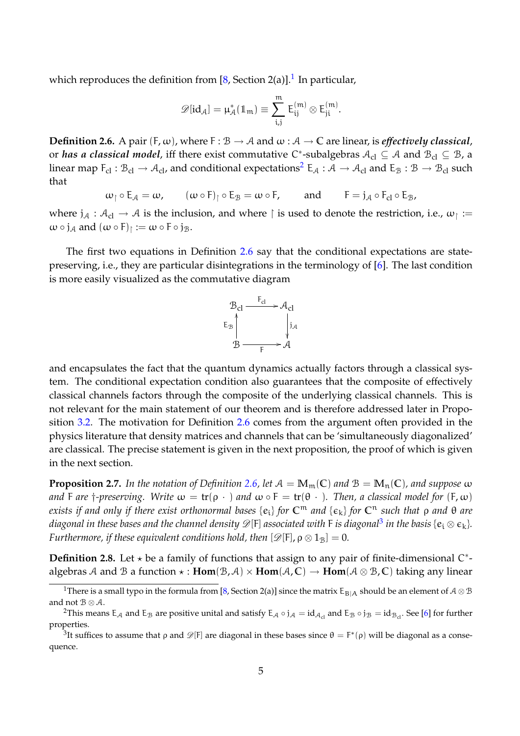which reproduces the definition from [8, Section 2(a)]. $^{\rm 1}$  In particular,

$$
\mathscr{D}[\text{id}_{\mathcal{A}}]=\mu_{\mathcal{A}}^*(1\!\!1_m)\equiv \sum_{i,j}^m\,E_{ij}^{(m)}\otimes E_{ji}^{(m)}.
$$

**Definition 2.6.** A pair  $(F, \omega)$ , where  $F : \mathcal{B} \to \mathcal{A}$  and  $\omega : \mathcal{A} \to \mathbb{C}$  are linear, is *effectively classical*, or *has a classical model,* iff there exist commutative C<sup>\*</sup>-subalgebras  $A_{\text{cl}}\subseteq A$  and  $B_{\text{cl}}\subseteq B$ , a linear map  $F_{cl}$  :  $B_{cl} \to A_{cl}$ , and conditional expectations<sup>2</sup>  $E_A$  :  $A \to A_{cl}$  and  $E_B$  :  $B \to B_{cl}$  such that

 $\omega_{\uparrow} \circ E_{\mathcal{A}} = \omega$ ,  $(\omega \circ F)_{\uparrow} \circ E_{\mathcal{B}} = \omega \circ F$ , and  $F = j_{\mathcal{A}} \circ F_{\mathcal{C}} \circ E_{\mathcal{B}}$ ,

where  $j_A: A_{cl} \to A$  is the inclusion, and where  $\upharpoonright$  is used to denote the restriction, i.e.,  $\omega_{\upharpoonright} :=$  $\omega \circ j_{\mathcal{A}}$  and  $(\omega \circ F)_{\upharpoonright} := \omega \circ F \circ j_{\mathcal{B}}$ .

The first two equations in Definition 2.6 say that the conditional expectations are statepreserving, i.e., they are particular disintegrations in the terminology of [6]. The last condition is more easily visualized as the commutative diagram



and encapsulates the fact that the quantum dynamics actually factors through a classical system. The conditional expectation condition also guarantees that the composite of effectively classical channels factors through the composite of the underlying classical channels. This is not relevant for the main statement of our theorem and is therefore addressed later in Proposition 3.2. The motivation for Definition 2.6 comes from the argument often provided in the physics literature that density matrices and channels that can be 'simultaneously diagonalized' are classical. The precise statement is given in the next proposition, the proof of which is given in the next section.

**Proposition 2.7.** In the notation of Definition 2.6, let  $A = M_m(\mathbb{C})$  and  $B = M_n(\mathbb{C})$ , and suppose  $\omega$ *and* F *are*  $\dagger$ *-preserving.* Write  $\omega = \text{tr}(\rho \cdot)$  *and*  $\omega \circ F = \text{tr}(\theta \cdot)$ *. Then, a classical model for*  $(F, \omega)$ *exists if and only if there exist orthonormal bases* {e<sup>i</sup> } *for* **C**<sup>m</sup> *and* {k} *for* **C**<sup>n</sup> *such that* ρ *and* θ *are* diagonal in these bases and the channel density  $\mathscr{D}[F]$  associated with F is diagonal<sup>3</sup> in the basis { $e_i\otimes e_k$ }. *Furthermore, if these equivalent conditions hold, then*  $[\mathscr{D}[\mathsf{F}], \rho \otimes 1_B] = 0$ *.* 

**Definition 2.8.** Let  $\star$  be a family of functions that assign to any pair of finite-dimensional  $C^*$ algebras A and B a function  $\star$ :  $Hom(B, A) \times Hom(A, C) \rightarrow Hom(A \otimes B, C)$  taking any linear

<sup>&</sup>lt;sup>1</sup>There is a small typo in the formula from [8, Section 2(a)] since the matrix  $E_{B|A}$  should be an element of  $A \otimes B$ and not  $\mathcal{B} \otimes \mathcal{A}$ .

<sup>&</sup>lt;sup>2</sup>This means E<sub>A</sub> and E<sub>B</sub> are positive unital and satisfy E<sub>A</sub> ∘ j<sub>A</sub> = id<sub>A<sub>cl</sub></sub> and E<sub>B</sub> ∘ j<sub>B</sub> = id<sub>B<sub>cl</sub>. See [6] for further</sub> properties.

<sup>&</sup>lt;sup>3</sup>It suffices to assume that  $\rho$  and  $\mathscr{D}[F]$  are diagonal in these bases since  $\theta = F^*(\rho)$  will be diagonal as a consequence.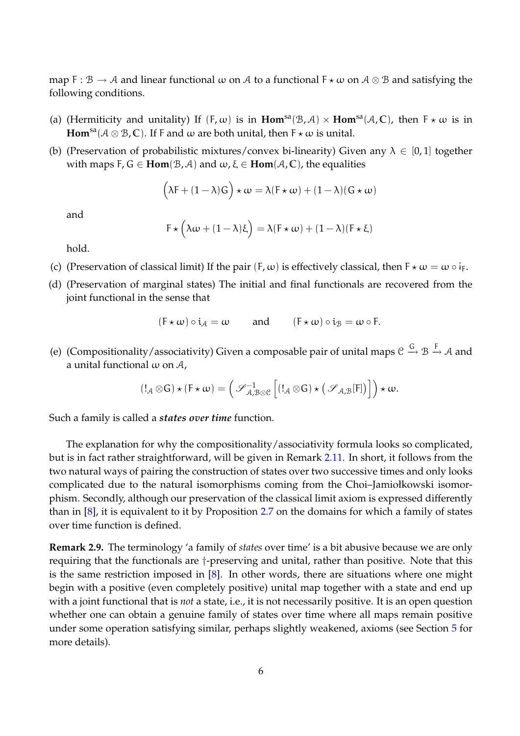map F :  $\mathcal{B} \to \mathcal{A}$  and linear functional  $\omega$  on  $\mathcal{A}$  to a functional  $F \star \omega$  on  $\mathcal{A} \otimes \mathcal{B}$  and satisfying the following conditions.

- (a) (Hermiticity and unitality) If  $(F, \omega)$  is in  $\text{Hom}^{\text{sa}}(\mathcal{B}, \mathcal{A}) \times \text{Hom}^{\text{sa}}(\mathcal{A}, \mathbb{C})$ , then  $F \star \omega$  is in **Hom**<sup>sa</sup>( $A \otimes B$ , **C**). If F and  $\omega$  are both unital, then  $F \star \omega$  is unital.
- (b) (Preservation of probabilistic mixtures/convex bi-linearity) Given any  $\lambda \in [0,1]$  together with maps  $F, G \in \text{Hom}(\mathcal{B}, \mathcal{A})$  and  $\omega, \xi \in \text{Hom}(\mathcal{A}, \mathbb{C})$ , the equalities

$$
\Big(\lambda F + (1-\lambda)G\Big)\star\omega = \lambda(F\star\omega) + (1-\lambda)(G\star\omega)
$$

and

$$
F \star \left( \lambda \omega + (1 - \lambda) \xi \right) = \lambda (F \star \omega) + (1 - \lambda) (F \star \xi)
$$

hold.

- (c) (Preservation of classical limit) If the pair  $(F, \omega)$  is effectively classical, then  $F \star \omega = \omega \circ i_F$ .
- (d) (Preservation of marginal states) The initial and final functionals are recovered from the joint functional in the sense that

$$
(F \star \omega) \circ i_{A} = \omega
$$
 and  $(F \star \omega) \circ i_{B} = \omega \circ F$ .

(e) (Compositionality/associativity) Given a composable pair of unital maps  $\mathcal{C} \stackrel{G}{\to} \mathcal{B} \stackrel{F}{\to} \mathcal{A}$  and a unital functional  $\omega$  on  $\mathcal{A}$ ,

$$
(!_{\mathcal{A}}\otimes G)\star(F\star\omega)=\Big(\mathscr{S}^{-1}_{\mathcal{A},\mathcal{B}\otimes\mathcal{C}}\left[(!_{\mathcal{A}}\otimes G)\star\big(\mathscr{S}_{\mathcal{A},\mathcal{B}}[F]\big)\right]\Big)\star\omega.
$$

Such a family is called a *states over time* function.

The explanation for why the compositionality/associativity formula looks so complicated, but is in fact rather straightforward, will be given in Remark 2.11. In short, it follows from the two natural ways of pairing the construction of states over two successive times and only looks complicated due to the natural isomorphisms coming from the Choi–Jamiołkowski isomorphism. Secondly, although our preservation of the classical limit axiom is expressed differently than in [8], it is equivalent to it by Proposition 2.7 on the domains for which a family of states over time function is defined.

**Remark 2.9.** The terminology 'a family of *states* over time' is a bit abusive because we are only requiring that the functionals are †-preserving and unital, rather than positive. Note that this is the same restriction imposed in [8]. In other words, there are situations where one might begin with a positive (even completely positive) unital map together with a state and end up with a joint functional that is *not* a state, i.e., it is not necessarily positive. It is an open question whether one can obtain a genuine family of states over time where all maps remain positive under some operation satisfying similar, perhaps slightly weakened, axioms (see Section 5 for more details).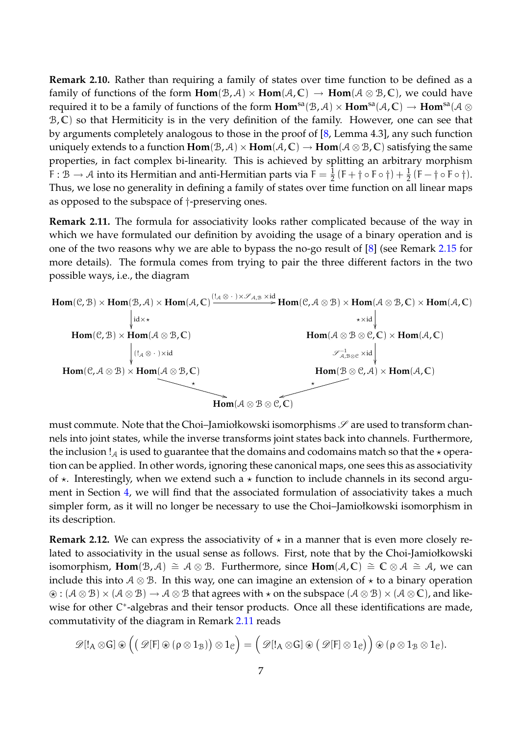**Remark 2.10.** Rather than requiring a family of states over time function to be defined as a family of functions of the form  $\text{Hom}(\mathcal{B}, \mathcal{A}) \times \text{Hom}(\mathcal{A}, \mathbb{C}) \to \text{Hom}(\mathcal{A} \otimes \mathcal{B}, \mathbb{C})$ , we could have required it to be a family of functions of the form  $Hom^{sa}(\mathcal{B}, \mathcal{A}) \times Hom^{sa}(\mathcal{A}, \mathbb{C}) \to Hom^{sa}(\mathcal{A} \otimes$ B, **C**) so that Hermiticity is in the very definition of the family. However, one can see that by arguments completely analogous to those in the proof of [8, Lemma 4.3], any such function uniquely extends to a function  $Hom(B, A) \times Hom(A, C) \rightarrow Hom(A \otimes B, C)$  satisfying the same properties, in fact complex bi-linearity. This is achieved by splitting an arbitrary morphism F :  $\mathcal{B} \to \mathcal{A}$  into its Hermitian and anti-Hermitian parts via F  $= \frac{1}{2}$  $\frac{1}{2} (F + \dagger \circ F \circ \dagger) + \frac{1}{2}$  $\frac{1}{2}$  (F – †  $\circ$  F  $\circ$  † ). Thus, we lose no generality in defining a family of states over time function on all linear maps as opposed to the subspace of †-preserving ones.

**Remark 2.11.** The formula for associativity looks rather complicated because of the way in which we have formulated our definition by avoiding the usage of a binary operation and is one of the two reasons why we are able to bypass the no-go result of [8] (see Remark 2.15 for more details). The formula comes from trying to pair the three different factors in the two possible ways, i.e., the diagram



must commute. Note that the Choi-Jamiołkowski isomorphisms  $\mathscr S$  are used to transform channels into joint states, while the inverse transforms joint states back into channels. Furthermore, the inclusion  $!_A$  is used to guarantee that the domains and codomains match so that the  $\star$  operation can be applied. In other words, ignoring these canonical maps, one sees this as associativity of  $\star$ . Interestingly, when we extend such a  $\star$  function to include channels in its second argument in Section 4, we will find that the associated formulation of associativity takes a much simpler form, as it will no longer be necessary to use the Choi–Jamiołkowski isomorphism in its description.

**Remark 2.12.** We can express the associativity of  $\star$  in a manner that is even more closely related to associativity in the usual sense as follows. First, note that by the Choi-Jamiołkowski isomorphism, **Hom**( $\mathcal{B}, \mathcal{A}$ )  $\cong \mathcal{A} \otimes \mathcal{B}$ . Furthermore, since **Hom**( $\mathcal{A}, \mathbb{C}$ )  $\cong \mathbb{C} \otimes \mathcal{A} \cong \mathcal{A}$ , we can include this into  $A \otimes B$ . In this way, one can imagine an extension of  $\star$  to a binary operation  $\mathcal{D}: (\mathcal{A} \otimes \mathcal{B}) \times (\mathcal{A} \otimes \mathcal{B}) \to \mathcal{A} \otimes \mathcal{B}$  that agrees with  $\star$  on the subspace  $(\mathcal{A} \otimes \mathcal{B}) \times (\mathcal{A} \otimes \mathbb{C})$ , and likewise for other C<sup>\*</sup>-algebras and their tensor products. Once all these identifications are made, commutativity of the diagram in Remark 2.11 reads

$$
\mathscr{D} [!_A \otimes G] \oplus \Big( \big( \mathscr{D} [F] \oplus (\rho \otimes 1_{\mathcal{B}}) \big) \otimes 1_{\mathcal{C}} \Big) = \Big( \mathscr{D} [!_A \otimes G] \oplus \big( \mathscr{D} [F] \otimes 1_{\mathcal{C}} \big) \Big) \oplus (\rho \otimes 1_{\mathcal{B}} \otimes 1_{\mathcal{C}}).
$$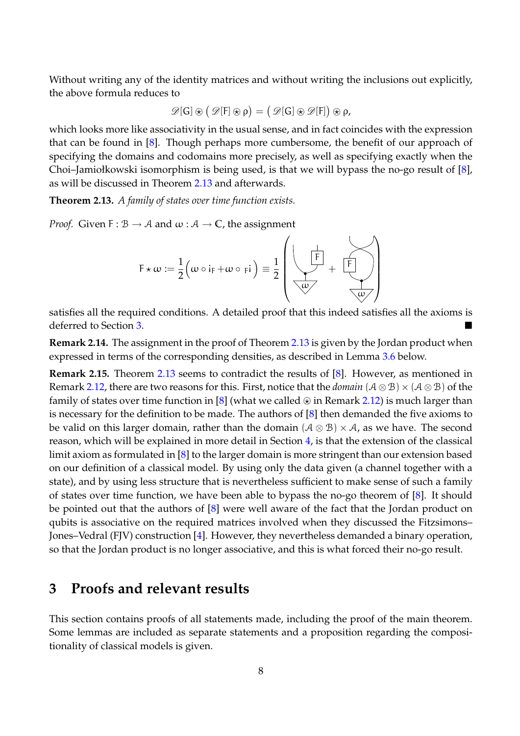Without writing any of the identity matrices and without writing the inclusions out explicitly, the above formula reduces to

$$
\mathscr{D}[G]\circledast\big(\mathscr{D}[F]\circledast\rho\big)=\big(\mathscr{D}[G]\circledast\mathscr{D}[F]\big)\circledast\rho,
$$

which looks more like associativity in the usual sense, and in fact coincides with the expression that can be found in [8]. Though perhaps more cumbersome, the benefit of our approach of specifying the domains and codomains more precisely, as well as specifying exactly when the Choi–Jamiołkowski isomorphism is being used, is that we will bypass the no-go result of [8], as will be discussed in Theorem 2.13 and afterwards.

**Theorem 2.13.** *A family of states over time function exists.*

*Proof.* Given  $F : B \to A$  and  $\omega : A \to \mathbb{C}$ , the assignment

$$
F \star \omega := \frac{1}{2} \Big( \omega \circ i_F + \omega \circ \mathrm{F}i \Big) \equiv \frac{1}{2} \left( \underbrace{\begin{array}{c} \downarrow \\ \downarrow \uparrow \\ \hline \omega \end{array}}_{\text{w}} + \underbrace{\begin{array}{c} \downarrow \\ \uparrow \\ \hline \downarrow \end{array}}_{\text{w}} \right)
$$

satisfies all the required conditions. A detailed proof that this indeed satisfies all the axioms is deferred to Section 3.

**Remark 2.14.** The assignment in the proof of Theorem 2.13 is given by the Jordan product when expressed in terms of the corresponding densities, as described in Lemma 3.6 below.

**Remark 2.15.** Theorem 2.13 seems to contradict the results of [8]. However, as mentioned in Remark 2.12, there are two reasons for this. First, notice that the *domain*  $(A \otimes B) \times (A \otimes B)$  of the family of states over time function in [8] (what we called  $\circledast$  in Remark 2.12) is much larger than is necessary for the definition to be made. The authors of [8] then demanded the five axioms to be valid on this larger domain, rather than the domain  $(A \otimes B) \times A$ , as we have. The second reason, which will be explained in more detail in Section 4, is that the extension of the classical limit axiom as formulated in [8] to the larger domain is more stringent than our extension based on our definition of a classical model. By using only the data given (a channel together with a state), and by using less structure that is nevertheless sufficient to make sense of such a family of states over time function, we have been able to bypass the no-go theorem of [8]. It should be pointed out that the authors of [8] were well aware of the fact that the Jordan product on qubits is associative on the required matrices involved when they discussed the Fitzsimons– Jones–Vedral (FJV) construction [4]. However, they nevertheless demanded a binary operation, so that the Jordan product is no longer associative, and this is what forced their no-go result.

# **3 Proofs and relevant results**

This section contains proofs of all statements made, including the proof of the main theorem. Some lemmas are included as separate statements and a proposition regarding the compositionality of classical models is given.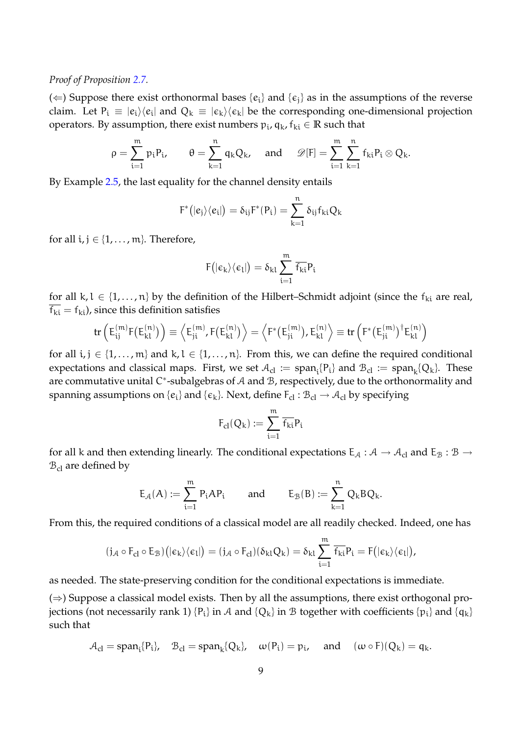#### *Proof of Proposition 2.7.*

(  $\Leftarrow$  ) Suppose there exist orthonormal bases { $e_i$ } and { $\epsilon_j$ } as in the assumptions of the reverse claim. Let  $P_i \equiv |e_i\rangle\langle e_i|$  and  $Q_k \equiv |e_k\rangle\langle e_k|$  be the corresponding one-dimensional projection operators. By assumption*,* there exist numbers  $p_i$ ,  $q_k$ ,  $f_{ki} \in \mathbb{R}$  such that

$$
\rho=\sum_{i=1}^m p_iP_i, \qquad \theta=\sum_{k=1}^n q_kQ_k, \quad \text{ and } \quad \mathscr{D}[F]=\sum_{i=1}^m \sum_{k=1}^n f_{ki}P_i\otimes Q_k.
$$

By Example 2.5, the last equality for the channel density entails

$$
F^*(|e_j\rangle\langle e_i|) = \delta_{ij}F^*(P_i) = \sum_{k=1}^n \delta_{ij}f_{ki}Q_k
$$

for all  $i, j \in \{1, \ldots, m\}$ . Therefore,

$$
F\big(|\varepsilon_k\rangle\langle\varepsilon_l|\big)=\delta_{kl}\sum_{i=1}^m\overline{f_{ki}}P_i
$$

for all k,  $l \in \{1, ..., n\}$  by the definition of the Hilbert–Schmidt adjoint (since the  $f_{ki}$  are real,  $\overline{f_{ki}} = f_{ki}$ , since this definition satisfies

$$
\text{tr}\left(E_{ij}^{(m)}F(E_{kl}^{(n)})\right)\equiv\left\langle E_{ji}^{(m)},F(E_{kl}^{(n)})\right\rangle=\left\langle F^*(E_{ji}^{(m)}),E_{kl}^{(n)}\right\rangle\equiv\text{tr}\left(F^*(E_{ji}^{(m)})^\dagger E_{kl}^{(n)}\right)
$$

for all  $i, j \in \{1, \ldots, m\}$  and  $k, l \in \{1, \ldots, n\}$ . From this, we can define the required conditional expectations and classical maps. First, we set  $\mathcal{A}_{cl} := \text{span}_{\mathfrak{i}}\{P_{\mathfrak{i}}\}$  and  $\mathcal{B}_{cl} := \text{span}_{\mathsf{k}}\{Q_{\mathsf{k}}\}.$  These are commutative unital C<sup>\*</sup>-subalgebras of A and B, respectively, due to the orthonormality and spanning assumptions on  $\{e_i\}$  and  $\{\epsilon_k\}$ . Next, define  $F_{cl}:\mathcal{B}_{cl}\to\mathcal{A}_{cl}$  by specifying

$$
F_{cl}(Q_k):=\sum_{i=1}^m \overline{f_{ki}}P_i
$$

for all k and then extending linearly. The conditional expectations  $E_A : A \to A_{cl}$  and  $E_B : B \to B$  $B_{cl}$  are defined by

$$
\mathsf{E}_{\mathcal{A}}(A) := \sum_{i=1}^m \mathsf{P}_i A \mathsf{P}_i \qquad \text{ and } \qquad \mathsf{E}_{\mathcal{B}}(B) := \sum_{k=1}^n \mathsf{Q}_k B \mathsf{Q}_k.
$$

From this, the required conditions of a classical model are all readily checked. Indeed, one has

$$
(j_{\mathcal{A}}\circ F_{cl}\circ E_{\mathcal{B}})\big(|\varepsilon_k\rangle\langle\varepsilon_l| \big)=(j_{\mathcal{A}}\circ F_{cl})(\delta_{kl}Q_k)=\delta_{kl}\sum_{i=1}^m\overline{f_{ki}}P_i=F\big(|\varepsilon_k\rangle\langle\varepsilon_l|\big),
$$

as needed. The state-preserving condition for the conditional expectations is immediate.

 $(\Rightarrow)$  Suppose a classical model exists. Then by all the assumptions, there exist orthogonal projections (not necessarily rank 1) {P<sub>i</sub>} in A and {Q<sub>k</sub>} in B together with coefficients {p<sub>i</sub>} and {q<sub>k</sub>} such that

$$
A_{cl} = span_i\{P_i\}, \quad B_{cl} = span_k\{Q_k\}, \quad \omega(P_i) = p_i, \quad \text{and} \quad (\omega \circ F)(Q_k) = q_k.
$$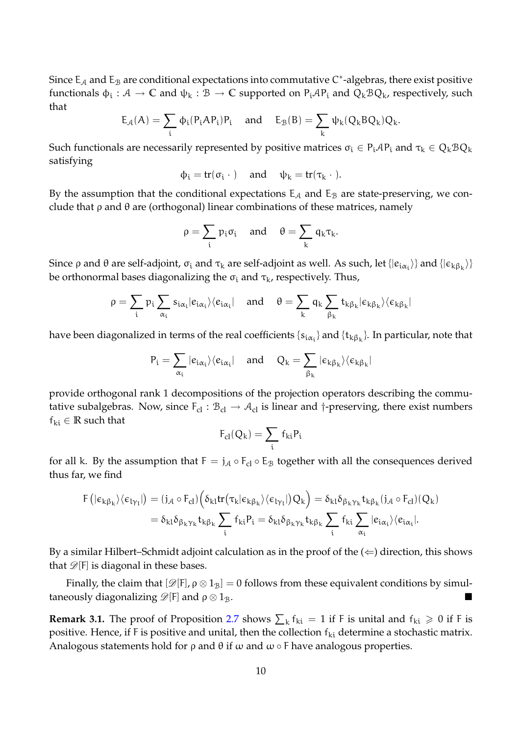Since  $\mathsf{E}_\mathcal{A}$  and  $\mathsf{E}_\mathcal{B}$  are conditional expectations into commutative C $^*$ -algebras, there exist positive functionals  $\phi_i:\mathcal A\to\mathbb C$  and  $\psi_k:\mathcal B\to\mathbb C$  supported on  $P_i\mathcal A P_i$  and  $Q_k\mathcal B Q_k$ , respectively, such that

$$
E_{\mathcal{A}}(A) = \sum_i \varphi_i(P_i A P_i) P_i \quad \text{ and } \quad E_{\mathcal{B}}(B) = \sum_k \psi_k(Q_k B Q_k) Q_k.
$$

Such functionals are necessarily represented by positive matrices  $\sigma_i \in P_i AP_i$  and  $\tau_k \in Q_k B Q_k$ satisfying

$$
\varphi_i = tr(\sigma_i \ \cdot \ ) \quad \text{ and } \quad \psi_k = tr(\tau_k \ \cdot \ ).
$$

By the assumption that the conditional expectations  $E_A$  and  $E_B$  are state-preserving, we conclude that  $\rho$  and  $\theta$  are (orthogonal) linear combinations of these matrices, namely

$$
\rho=\sum_i p_i\sigma_i\quad\text{and}\quad\theta=\sum_k q_k\tau_k.
$$

Since  $\rho$  and  $\theta$  are self-adjoint,  $\sigma_i$  and  $\tau_k$  are self-adjoint as well. As such, let  $\{|e_{i\alpha_i}\rangle\}$  and  $\{|e_{k\beta_k}\rangle\}$ be orthonormal bases diagonalizing the  $\sigma_i$  and  $\tau_k$ , respectively. Thus,

$$
\rho=\sum_i\,p_i\sum_{\alpha_i}\,s_{i\alpha_i}|e_{i\alpha_i}\rangle\langle e_{i\alpha_i}|\quad\text{ and }\quad\theta=\sum_k\,q_k\sum_{\beta_k}\,t_{k\beta_k}|e_{k\beta_k}\rangle\langle e_{k\beta_k}|
$$

have been diagonalized in terms of the real coefficients  $\{s_{i\alpha_i}\}$  and  $\{t_{k\beta_k}\}$ . In particular, note that

$$
P_i = \sum_{\alpha_i} |e_{i\alpha_i}\rangle\langle e_{i\alpha_i}| \quad \text{ and } \quad Q_k = \sum_{\beta_k} | \varepsilon_{k\beta_k}\rangle\langle \varepsilon_{k\beta_k}|
$$

provide orthogonal rank 1 decompositions of the projection operators describing the commutative subalgebras. Now, since  $F_{cl}$ :  $B_{cl} \rightarrow A_{cl}$  is linear and †-preserving, there exist numbers  $f_{ki} \in \mathbb{R}$  such that

$$
F_{cl}(Q_k)=\sum_i\,f_{ki}P_i
$$

for all k. By the assumption that  $F = j_A \circ F_{cl} \circ E_B$  together with all the consequences derived thus far, we find

$$
F\left(|\varepsilon_{k\beta_{k}}\rangle\langle\varepsilon_{l\gamma_{l}}|\right) = (j_{\mathcal{A}} \circ F_{cl})\left(\delta_{kl} \text{tr}\left(\tau_{k}|\varepsilon_{k\beta_{k}}\rangle\langle\varepsilon_{l\gamma_{l}}|\right)Q_{k}\right) = \delta_{kl}\delta_{\beta_{k}\gamma_{k}}t_{k\beta_{k}}(j_{\mathcal{A}} \circ F_{cl})(Q_{k})
$$

$$
= \delta_{kl}\delta_{\beta_{k}\gamma_{k}}t_{k\beta_{k}}\sum_{i}f_{ki}P_{i} = \delta_{kl}\delta_{\beta_{k}\gamma_{k}}t_{k\beta_{k}}\sum_{i}f_{ki}\sum_{\alpha_{i}}f_{ki}\sum_{\alpha_{i}}|e_{i\alpha_{i}}\rangle\langle e_{i\alpha_{i}}|.
$$

By a similar Hilbert–Schmidt adjoint calculation as in the proof of the  $(\Leftarrow)$  direction, this shows that  $\mathscr{D}[F]$  is diagonal in these bases.

Finally, the claim that  $[\mathscr{D}[F], \rho \otimes 1_B] = 0$  follows from these equivalent conditions by simultaneously diagonalizing  $\mathscr{D}[F]$  and  $\rho \otimes 1_B$ .

**Remark 3.1.** The proof of Proposition 2.7 shows  $\sum_{k} f_{ki} = 1$  if F is unital and  $f_{ki} \geq 0$  if F is positive. Hence, if F is positive and unital, then the collection  $f_{ki}$  determine a stochastic matrix. Analogous statements hold for  $\rho$  and  $\theta$  if  $\omega$  and  $\omega \circ F$  have analogous properties.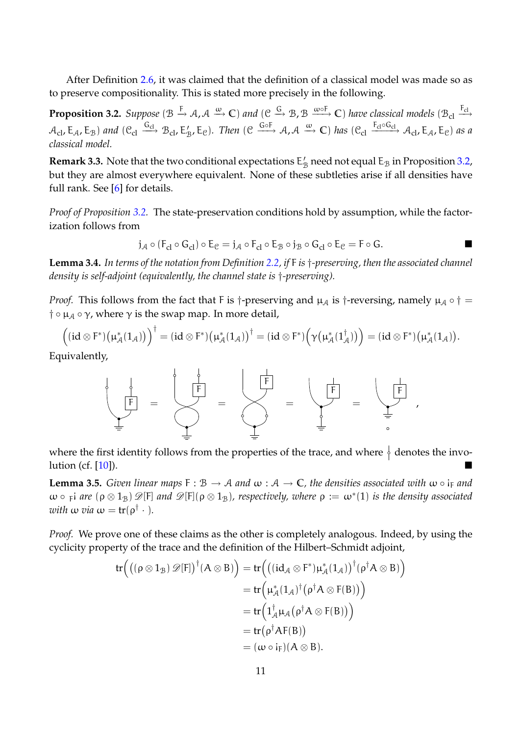After Definition 2.6, it was claimed that the definition of a classical model was made so as to preserve compositionality. This is stated more precisely in the following.

**Proposition 3.2.** Suppose  $(\mathcal{B} \xrightarrow{F} \mathcal{A}, \mathcal{A} \xrightarrow{\omega} \mathbb{C})$  and  $(\mathcal{C} \xrightarrow{G} \mathcal{B}, \mathcal{B} \xrightarrow{\omega \circ F} \mathbb{C})$  have classical models  $(\mathcal{B}_{cl} \xrightarrow{F_{cl}}$  $\mathcal{A}_{\text{cl}}$ ,  $\mathsf{E}_{\mathcal{A}}$ ,  $\mathsf{E}_{\mathcal{B}}$ ) and  $(\mathcal{C}_{\text{cl}} \xrightarrow{\mathsf{G}_{\text{cl}}} \mathcal{B}_{\text{cl}}$ ,  $\mathsf{E}_{\mathcal{B}}'$ ,  $\mathsf{E}_{\mathcal{C}}$ ). Then  $(\mathcal{C} \xrightarrow{\mathsf{G}_{\text{of}}} \mathcal{A}, \mathcal{A} \xrightarrow{\omega} \mathbb{C})$  has  $(\mathcal{C}_{\text{cl}} \xrightarrow{\mathsf{F}_{\text{cl}} \circ \mathsf{G}_{\text{cl}}} \$ *classical model.*

**Remark 3.3.** Note that the two conditional expectations  $E'_{\mathcal{B}}$  need not equal  $E_{\mathcal{B}}$  in Proposition 3.2, but they are almost everywhere equivalent. None of these subtleties arise if all densities have full rank. See [6] for details.

*Proof of Proposition 3.2.* The state-preservation conditions hold by assumption, while the factorization follows from

$$
j_{\mathcal{A}} \circ (F_{cl} \circ G_{cl}) \circ E_{\mathcal{C}} = j_{\mathcal{A}} \circ F_{cl} \circ E_{\mathcal{B}} \circ j_{\mathcal{B}} \circ G_{cl} \circ E_{\mathcal{C}} = F \circ G.
$$

**Lemma 3.4.** *In terms of the notation from Definition 2.2, if* F *is* †*-preserving, then the associated channel density is self-adjoint (equivalently, the channel state is* †*-preserving).*

*Proof.* This follows from the fact that F is †-preserving and  $\mu_A$  is †-reversing, namely  $\mu_A \circ \dagger =$  $\dagger \circ \mu_A \circ \gamma$ , where  $\gamma$  is the swap map. In more detail,

$$
\Bigl((id\otimes F^*)\bigl(\mu^*_\mathcal{A}(1_\mathcal{A})\bigr)\Bigr)^\dagger=(id\otimes F^*)\bigl(\mu^*_\mathcal{A}(1_\mathcal{A})\bigr)^\dagger=(id\otimes F^*)\Bigl(\gamma\bigl(\mu^*_\mathcal{A}(1_\mathcal{A}^\dagger)\bigr)\Bigr)=(id\otimes F^*)\bigl(\mu^*_\mathcal{A}(1_\mathcal{A})\bigr).
$$

Equivalently,



where the first identity follows from the properties of the trace, and where  $\frac{1}{2}$  denotes the involution (cf. [10]).

**Lemma 3.5.** *Given linear maps*  $F : B \to A$  *and*  $\omega : A \to \mathbb{C}$ *, the densities associated with*  $\omega \circ i_F$  *and*  $\omega \circ \varphi$  *are*  $(\rho \otimes 1_B) \mathscr{D}[\mathsf{F}]$  and  $\mathscr{D}[\mathsf{F}](\rho \otimes 1_B)$ , respectively, where  $\rho := \omega^*(1)$  is the density associated *with*  $\omega$  *via*  $\omega = \text{tr}(\rho^{\dagger} \cdot).$ 

*Proof.* We prove one of these claims as the other is completely analogous. Indeed, by using the cyclicity property of the trace and the definition of the Hilbert–Schmidt adjoint,

$$
tr((\rho \otimes 1_B) \mathscr{D}[F])^{\dagger}(A \otimes B)) = tr(((id_{\mathcal{A}} \otimes F^*)\mu_{\mathcal{A}}^*(1_{\mathcal{A}}))^{\dagger}(\rho^{\dagger} A \otimes B))
$$
  
\n
$$
= tr(\mu_{\mathcal{A}}^*(1_{\mathcal{A}})^{\dagger}(\rho^{\dagger} A \otimes F(B)))
$$
  
\n
$$
= tr(1_{\mathcal{A}}^{\dagger} \mu_{\mathcal{A}}(\rho^{\dagger} A \otimes F(B)))
$$
  
\n
$$
= tr(\rho^{\dagger} AF(B))
$$
  
\n
$$
= (\omega \circ i_F)(A \otimes B).
$$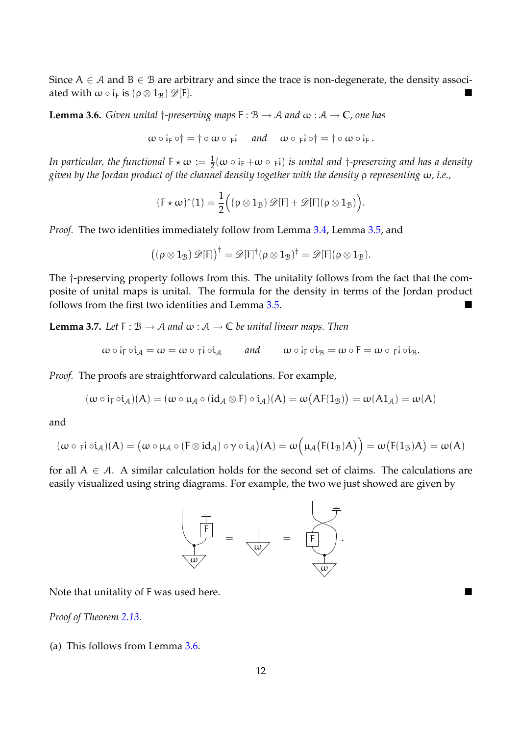Since  $A \in \mathcal{A}$  and  $B \in \mathcal{B}$  are arbitrary and since the trace is non-degenerate, the density associated with  $\omega \circ i_F$  is  $(\rho \otimes 1_B) \mathscr{D} [F].$ 

**Lemma 3.6.** *Given unital*  $\dagger$ -preserving maps  $F : B \to A$  *and*  $\omega : A \to \mathbb{C}$ *, one has* 

 $\omega \circ i_F \circ \dagger = \dagger \circ \omega \circ \varepsilon i$  and  $\omega \circ \varepsilon_i \circ \dagger = \dagger \circ \omega \circ i_F$ .

In particular, the functional  $F \star \omega := \frac{1}{2}(\omega \circ i_F + \omega \circ \overline{\phantom{r}} i)$  is unital and  $\dagger$ *-preserving and has a density given by the Jordan product of the channel density together with the density* ρ *representing* ω*, i.e.,*

$$
(\mathsf{F} \star \omega)^*(1) = \frac{1}{2} \Big( (\rho \otimes 1_{\mathcal{B}}) \mathscr{D}[\mathsf{F}] + \mathscr{D}[\mathsf{F}] (\rho \otimes 1_{\mathcal{B}}) \Big).
$$

*Proof.* The two identities immediately follow from Lemma 3.4, Lemma 3.5, and

$$
\big((\rho\otimes 1_{\mathcal{B}})\,\mathscr{D}[F]\big)^\dagger=\mathscr{D}[F]^\dagger(\rho\otimes 1_{\mathcal{B}})^\dagger=\mathscr{D}[F](\rho\otimes 1_{\mathcal{B}}).
$$

The †-preserving property follows from this. The unitality follows from the fact that the composite of unital maps is unital. The formula for the density in terms of the Jordan product follows from the first two identities and Lemma 3.5.

**Lemma 3.7.** *Let*  $F : B \to A$  *and*  $\omega : A \to C$  *be unital linear maps. Then* 

$$
\omega \circ i_F \circ i_{\mathcal{A}} = \omega = \omega \circ \mathrm{pi} \circ i_{\mathcal{A}} \qquad \text{and} \qquad \omega \circ i_F \circ i_{\mathcal{B}} = \omega \circ F = \omega \circ \mathrm{pi} \circ i_{\mathcal{B}}.
$$

*Proof.* The proofs are straightforward calculations. For example,

$$
(\omega \circ i_F \circ i_{\mathcal{A}})(A) = (\omega \circ \mu_{\mathcal{A}} \circ (id_{\mathcal{A}} \otimes F) \circ i_{\mathcal{A}})(A) = \omega\bigl(AF(1_{\mathcal{B}})\bigr) = \omega(A1_{\mathcal{A}}) = \omega(A)
$$

and

$$
(\omega \circ \mathsf{p} \mathsf{i} \circ \mathsf{i}_{\mathcal{A}})(A) = \big(\omega \circ \mu_{\mathcal{A}} \circ (\mathsf{F} \otimes \mathsf{id}_{\mathcal{A}}) \circ \gamma \circ \mathsf{i}_{\mathcal{A}}\big)(A) = \omega\Big(\mu_{\mathcal{A}}\big(\mathsf{F}(1_{\mathcal{B}})A\big)\Big) = \omega\big(\mathsf{F}(1_{\mathcal{B}})A\big) = \omega(A)
$$

for all  $A \in \mathcal{A}$ . A similar calculation holds for the second set of claims. The calculations are easily visualized using string diagrams. For example, the two we just showed are given by



Note that unitality of F was used here.

**Proof of Theorem 2.13.** 

(a) This follows from Lemma 3.6.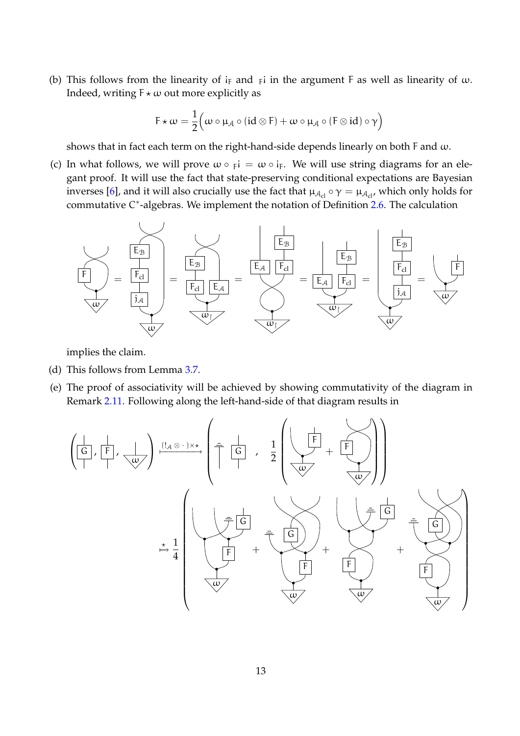(b) This follows from the linearity of  $i_F$  and  $F$  in the argument F as well as linearity of  $\omega$ . Indeed, writing  $F \star \omega$  out more explicitly as

$$
F\star \omega = \frac{1}{2} \Big( \omega \circ \mu_{\mathcal{A}} \circ (\mathrm{id} \otimes F) + \omega \circ \mu_{\mathcal{A}} \circ (F \otimes \mathrm{id}) \circ \gamma \Big)
$$

shows that in fact each term on the right-hand-side depends linearly on both F and  $\omega$ .

(c) In what follows, we will prove  $\omega \circ \overline{F} = \omega \circ i_{F}$ . We will use string diagrams for an elegant proof. It will use the fact that state-preserving conditional expectations are Bayesian inverses [6], and it will also crucially use the fact that  $\mu_{A_{cl}} \circ \gamma = \mu_{A_{cl}}$ , which only holds for commutative C<sup>\*</sup>-algebras. We implement the notation of Definition 2.6. The calculation



implies the claim.

- (d) This follows from Lemma 3.7.
- (e) The proof of associativity will be achieved by showing commutativity of the diagram in Remark 2.11. Following along the left-hand-side of that diagram results in

$$
\left(\frac{\begin{pmatrix} 1 & \frac{1}{|F|} \\ \frac{1}{|F|} & \frac{1}{|F|} \\ \frac{1}{|F|} & \frac{1}{|F|} \end{pmatrix}}{\begin{pmatrix} 1 & \frac{1}{|F|} \\ \frac{1}{|F|} \\ \frac{1}{|F|} \\ \frac{1}{|F|} \\ \frac{1}{|F|} \\ \frac{1}{|F|} \\ \frac{1}{|F|} \\ \frac{1}{|F|} \\ \frac{1}{|F|} \\ \frac{1}{|F|} \\ \frac{1}{|F|} \\ \frac{1}{|F|} \\ \frac{1}{|F|} \\ \frac{1}{|F|} \\ \frac{1}{|F|} \\ \frac{1}{|F|} \\ \frac{1}{|F|} \\ \frac{1}{|F|} \\ \frac{1}{|F|} \\ \frac{1}{|F|} \\ \frac{1}{|F|} \\ \frac{1}{|F|} \\ \frac{1}{|F|} \\ \frac{1}{|F|} \\ \frac{1}{|F|} \\ \frac{1}{|F|} \\ \frac{1}{|F|} \\ \frac{1}{|F|} \\ \frac{1}{|F|} \\ \frac{1}{|F|} \\ \frac{1}{|F|} \\ \frac{1}{|F|} \\ \frac{1}{|F|} \\ \frac{1}{|F|} \\ \frac{1}{|F|} \\ \frac{1}{|F|} \\ \frac{1}{|F|} \\ \frac{1}{|F|} \\ \frac{1}{|F|} \\ \frac{1}{|F|} \\ \frac{1}{|F|} \\ \frac{1}{|F|} \\ \frac{1}{|F|} \\ \frac{1}{|F|} \\ \frac{1}{|F|} \\ \frac{1}{|F|} \\ \frac{1}{|F|} \\ \frac{1}{|F|} \\ \frac{1}{|F|} \\ \frac{1}{|F|} \\ \frac{1}{|F|} \\ \frac{1}{|F|} \\ \frac{1}{|F|} \\ \frac{1}{|F|} \\ \frac{1}{|F|} \\ \frac{1}{|F|} \\ \frac{1}{|F|} \\ \frac{1}{|F|} \\ \frac{1}{|F|} \\ \frac{1}{|F|} \\ \frac{1}{|F|} \\ \frac{1}{|F|} \\ \frac{1}{|F|} \\ \frac{1}{|F|} \\ \frac{1}{|F|} \\ \frac{1}{|F|} \\ \frac{1}{|F|} \\ \frac{1}{|F|} \\ \frac{
$$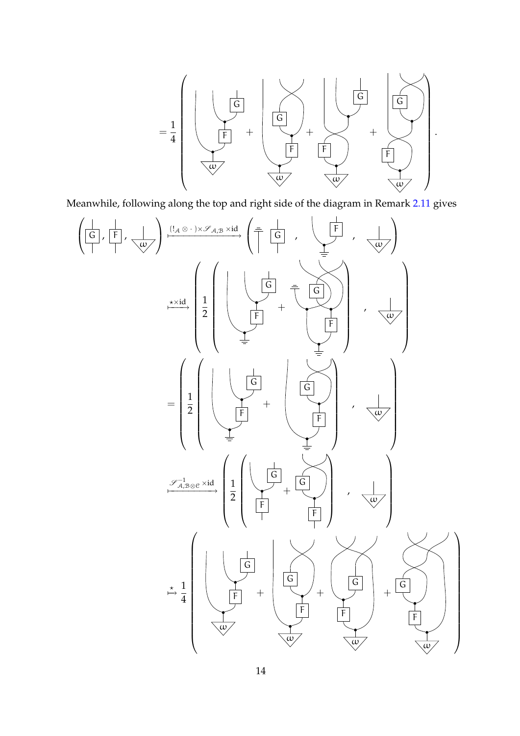

Meanwhile, following along the top and right side of the diagram in Remark 2.11 gives

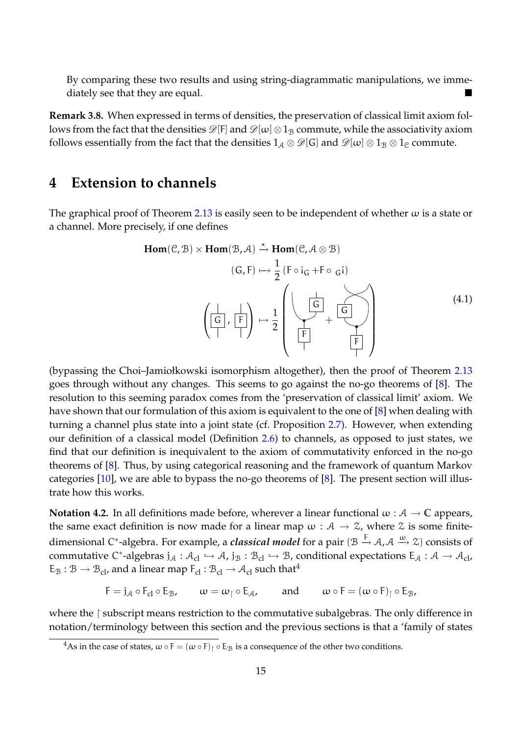By comparing these two results and using string-diagrammatic manipulations, we immediately see that they are equal.

**Remark 3.8.** When expressed in terms of densities, the preservation of classical limit axiom follows from the fact that the densities  $\mathscr{D}[F]$  and  $\mathscr{D}[\omega]\otimes 1_B$  commute, while the associativity axiom follows essentially from the fact that the densities  $1_A \otimes \mathcal{D}[G]$  and  $\mathcal{D}[\omega] \otimes 1_B \otimes 1_C$  commute.

### **4 Extension to channels**

The graphical proof of Theorem 2.13 is easily seen to be independent of whether  $\omega$  is a state or a channel. More precisely, if one defines

**Hom**(C, B) × **Hom**(B, A) ?−→ **Hom**(C, <sup>A</sup> <sup>⊗</sup> <sup>B</sup>) (G, F) 7−→ 1 2 (F ◦ ! <sup>G</sup> +F ◦ <sup>G</sup> ! ) <sup>G</sup> , <sup>F</sup> 7→ 1 2 F G + F G (4.1)

(bypassing the Choi–Jamiołkowski isomorphism altogether), then the proof of Theorem 2.13 goes through without any changes. This seems to go against the no-go theorems of [8]. The resolution to this seeming paradox comes from the 'preservation of classical limit' axiom. We have shown that our formulation of this axiom is equivalent to the one of [8] when dealing with turning a channel plus state into a joint state (cf. Proposition 2.7). However, when extending our definition of a classical model (Definition 2.6) to channels, as opposed to just states, we find that our definition is inequivalent to the axiom of commutativity enforced in the no-go theorems of [8]. Thus, by using categorical reasoning and the framework of quantum Markov categories  $[10]$ , we are able to bypass the no-go theorems of  $[8]$ . The present section will illustrate how this works.

**Notation 4.2.** In all definitions made before, wherever a linear functional  $\omega : A \to \mathbb{C}$  appears, the same exact definition is now made for a linear map  $\omega : A \to \mathcal{Z}$ , where  $\mathcal{Z}$  is some finitedimensional C\*-algebra. For example*,* a *classical model* for a pair (B → A, A ↔ Z) consists of commutative C\*-algebras  $j_A: A_{cl} \hookrightarrow A$ ,  $j_B: B_{cl} \hookrightarrow B$ , conditional expectations  $E_A: A \to A_{cl}$ ,  $E_{\mathcal{B}} : \mathcal{B} \to \mathcal{B}_{\text{cl}}$ , and a linear map  $F_{\text{cl}} : \mathcal{B}_{\text{cl}} \to \mathcal{A}_{\text{cl}}$  such that<sup>4</sup>

 $F = j_A \circ F_{cl} \circ E_B$ ,  $\omega = \omega \circ E_A$ , and  $\omega \circ F = (\omega \circ F) \circ E_B$ ,

where the  $\restriction$  subscript means restriction to the commutative subalgebras. The only difference in notation/terminology between this section and the previous sections is that a 'family of states

<sup>&</sup>lt;sup>4</sup>As in the case of states,  $\omega \circ F = (\omega \circ F)_1 \circ E_B$  is a consequence of the other two conditions.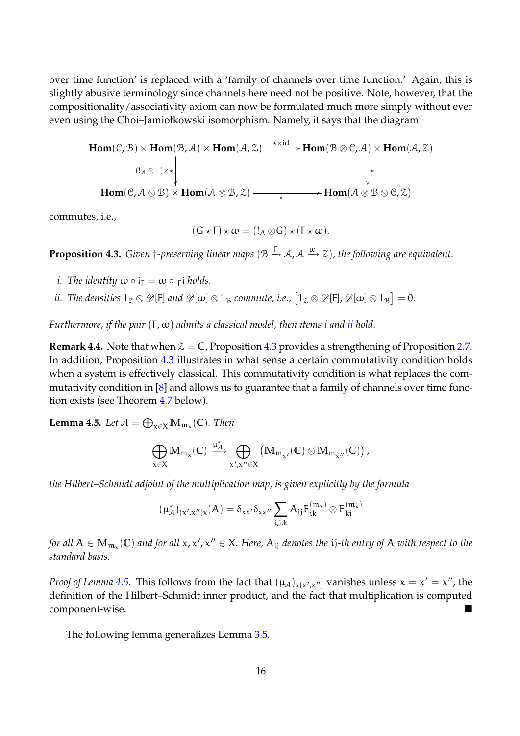over time function' is replaced with a 'family of channels over time function.' Again, this is slightly abusive terminology since channels here need not be positive. Note, however, that the compositionality/associativity axiom can now be formulated much more simply without ever even using the Choi–Jamiołkowski isomorphism. Namely, it says that the diagram

$$
Hom(\mathcal{C}, \mathcal{B}) \times Hom(\mathcal{B}, \mathcal{A}) \times Hom(\mathcal{A}, \mathcal{Z}) \xrightarrow{\star \times id} Hom(\mathcal{B} \otimes \mathcal{C}, \mathcal{A}) \times Hom(\mathcal{A}, \mathcal{Z})
$$
\n
$$
\downarrow
$$
\n
$$
Hom(\mathcal{C}, \mathcal{A} \otimes \mathcal{B}) \times Hom(\mathcal{A} \otimes \mathcal{B}, \mathcal{Z}) \xrightarrow{\star} Hom(\mathcal{A} \otimes \mathcal{B} \otimes \mathcal{C}, \mathcal{Z})
$$

commutes, i.e.,

$$
(G \star F) \star \omega = (!_A \otimes G) \star (F \star \omega).
$$

**Proposition 4.3.** *Given* †-preserving linear maps ( $B \stackrel{F}{\rightarrow} A$ ,  $A \stackrel{\omega}{\rightarrow} Z$ ), the following are equivalent.

- *i.* The identity  $\omega \circ i_F = \omega \circ \varepsilon$  i holds.
- ii. The densities  $1_\mathcal{Z}\otimes\mathscr{D}[\mathrm{F}]$  and  $\mathscr{D}[\omega]\otimes 1_\mathcal{B}$  commute, i.e.,  $\big[1_\mathcal{Z}\otimes\mathscr{D}[\mathrm{F}],\mathscr{D}[\omega]\otimes 1_\mathcal{B}\big]=0.$

*Furthermore, if the pair* (F, ω) *admits a classical model, then items i and ii hold.*

**Remark 4.4.** Note that when  $\mathcal{Z} = \mathbb{C}$ , Proposition 4.3 provides a strengthening of Proposition 2.7. In addition, Proposition 4.3 illustrates in what sense a certain commutativity condition holds when a system is effectively classical. This commutativity condition is what replaces the commutativity condition in [8] and allows us to guarantee that a family of channels over time function exists (see Theorem 4.7 below).

**Lemma 4.5.** Let  $\mathcal{A} = \bigoplus_{x \in \mathsf{X}} \mathbb{M}_{\mathfrak{m}_{\mathsf{x}}}(\mathbb{C})$ . Then

$$
\bigoplus_{x\in X} \mathbb{M}_{\mathfrak{m}_x}(\mathbb{C}) \xrightarrow{\mu_{\mathcal{A}}^*} \bigoplus_{x',x''\in X} \left(\mathbb{M}_{\mathfrak{m}_{x'}}(\mathbb{C})\otimes \mathbb{M}_{\mathfrak{m}_{x''}}(\mathbb{C})\right),
$$

*the Hilbert–Schmidt adjoint of the multiplication map, is given explicitly by the formula*

$$
(\mu_{\mathcal{A}}^*)_{(x',x'')x}(A)=\delta_{xx'}\delta_{xx''}\sum_{i,j,k}A_{ij}E^{(m_x)}_{ik}\otimes E^{(m_x)}_{kj}
$$

for all  $A\in M_{\mathfrak{m}_\chi}(\mathbb{C})$  and for all  $\chi$ , $\chi'$ , $\chi''\in X$ . Here,  $A_{ij}$  denotes the  ${\rm i}j$ -th entry of  $A$  with respect to the *standard basis.*

*Proof of Lemma* 4.5. This follows from the fact that  $(\mu_A)_{x(x',x'')}$  vanishes unless  $x = x' = x''$ , the definition of the Hilbert–Schmidt inner product, and the fact that multiplication is computed component-wise.

The following lemma generalizes Lemma 3.5.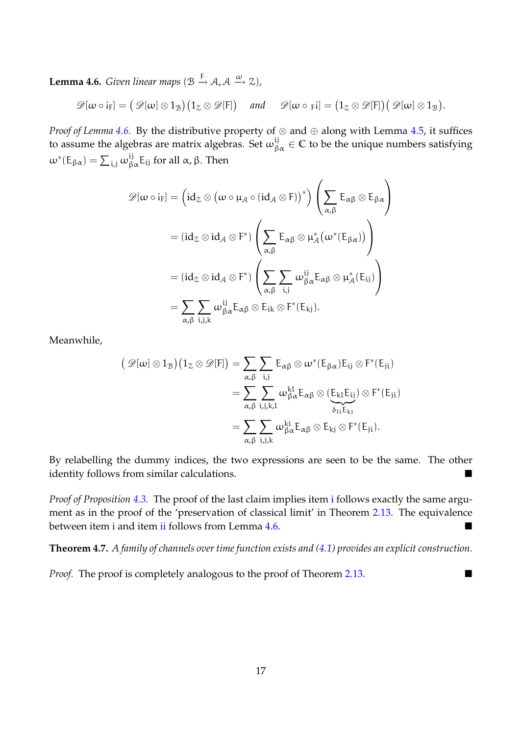**Lemma 4.6.** *Given linear maps*  $(\mathcal{B} \stackrel{\mathsf{F}}{\rightarrow} \mathcal{A}, \mathcal{A} \stackrel{\omega}{\rightarrow} \mathcal{Z})$ ,

$$
\mathscr{D}[\omega \circ i_{F}] = (\mathscr{D}[\omega] \otimes 1_{\mathcal{B}}) (1_{\mathcal{Z}} \otimes \mathscr{D}[F]) \quad \text{and} \quad \mathscr{D}[\omega \circ F_{F}] = (1_{\mathcal{Z}} \otimes \mathscr{D}[F]) (\mathscr{D}[\omega] \otimes 1_{\mathcal{B}}).
$$

*Proof of Lemma 4.6.* By the distributive property of ⊗ and ⊕ along with Lemma 4.5, it suffices to assume the algebras are matrix algebras. Set  $\omega_{\beta\alpha}^{ij}\in\mathbb{C}$  to be the unique numbers satisfying  $\omega^*$ (Ε<sub>βα</sub>) =  $\sum_{i,j}\omega_{\beta\alpha}^{ij}$ Ε<sub>ij</sub> for all α, β. Then

$$
\begin{aligned} \mathscr{D}[\omega \circ i_{F}] &= \Big( id_{\mathcal{Z}} \otimes \big( \omega \circ \mu_{\mathcal{A}} \circ (id_{\mathcal{A}} \otimes F) \big)^{*} \Big) \left( \sum_{\alpha, \beta} E_{\alpha \beta} \otimes E_{\beta \alpha} \right) \\ &= (id_{\mathcal{Z}} \otimes id_{\mathcal{A}} \otimes F^{*}) \left( \sum_{\alpha, \beta} E_{\alpha \beta} \otimes \mu_{\mathcal{A}}^{*} \big( \omega^{*} (E_{\beta \alpha}) \big) \right) \\ &= (id_{\mathcal{Z}} \otimes id_{\mathcal{A}} \otimes F^{*}) \left( \sum_{\alpha, \beta} \sum_{i,j} \omega_{\beta \alpha}^{ij} E_{\alpha \beta} \otimes \mu_{\mathcal{A}}^{*} (E_{ij}) \right) \\ &= \sum_{\alpha, \beta} \sum_{i,j,k} \omega_{\beta \alpha}^{ij} E_{\alpha \beta} \otimes E_{ik} \otimes F^{*} (E_{kj}). \end{aligned}
$$

Meanwhile,

$$
\begin{aligned} \big( \text{ } \mathscr{D}[\omega] \otimes 1_{\mathcal{B}} \big) \big( 1_{\mathcal{Z}} \otimes \mathscr{D}[F] \big) = \sum_{\alpha, \beta} \sum_{i,j} E_{\alpha \beta} \otimes \omega^*(E_{\beta \alpha}) E_{ij} \otimes F^*(E_{ji}) \\ = \sum_{\alpha, \beta} \sum_{i,j,k,l} \omega_{\beta \alpha}^{kl} E_{\alpha \beta} \otimes ( \underbrace{E_{kl} E_{ij}}_{\delta_{1i} E_{kj}}) \otimes F^*(E_{ji}) \\ = \sum_{\alpha, \beta} \sum_{i,j,k} \omega_{\beta \alpha}^{ki} E_{\alpha \beta} \otimes E_{kj} \otimes F^*(E_{ji}). \end{aligned}
$$

By relabelling the dummy indices, the two expressions are seen to be the same. The other identity follows from similar calculations.

*Proof of Proposition 4.3.* The proof of the last claim implies item i follows exactly the same argument as in the proof of the 'preservation of classical limit' in Theorem 2.13. The equivalence between item i and item ii follows from Lemma 4.6.

**Theorem 4.7.** *A family of channels over time function exists and (4.1) provides an explicit construction.*

*Proof.* The proof is completely analogous to the proof of Theorem 2.13.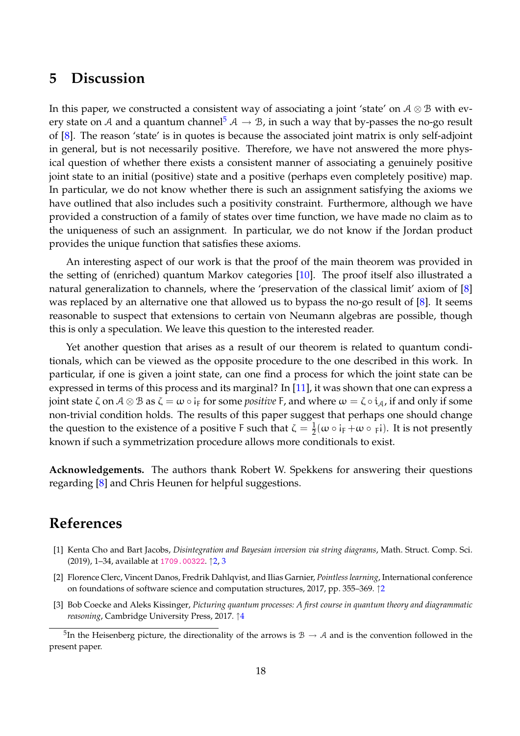### **5 Discussion**

In this paper, we constructed a consistent way of associating a joint 'state' on  $A \otimes B$  with every state on A and a quantum channel<sup>5</sup>  $A \rightarrow B$ , in such a way that by-passes the no-go result of [8]. The reason 'state' is in quotes is because the associated joint matrix is only self-adjoint in general, but is not necessarily positive. Therefore, we have not answered the more physical question of whether there exists a consistent manner of associating a genuinely positive joint state to an initial (positive) state and a positive (perhaps even completely positive) map. In particular, we do not know whether there is such an assignment satisfying the axioms we have outlined that also includes such a positivity constraint. Furthermore, although we have provided a construction of a family of states over time function, we have made no claim as to the uniqueness of such an assignment. In particular, we do not know if the Jordan product provides the unique function that satisfies these axioms.

An interesting aspect of our work is that the proof of the main theorem was provided in the setting of (enriched) quantum Markov categories [10]. The proof itself also illustrated a natural generalization to channels, where the 'preservation of the classical limit' axiom of [8] was replaced by an alternative one that allowed us to bypass the no-go result of [8]. It seems reasonable to suspect that extensions to certain von Neumann algebras are possible, though this is only a speculation. We leave this question to the interested reader.

Yet another question that arises as a result of our theorem is related to quantum conditionals, which can be viewed as the opposite procedure to the one described in this work. In particular, if one is given a joint state, can one find a process for which the joint state can be expressed in terms of this process and its marginal? In [11], it was shown that one can express a joint state ζ on  $\mathcal{A}\otimes\mathcal{B}$  as ζ =  $\omega\circ$  i<sub>F</sub> for some *positive* F, and where  $\omega=\zeta\circ i_\mathcal{A}$ , if and only if some non-trivial condition holds. The results of this paper suggest that perhaps one should change the question to the existence of a positive F such that  $\zeta = \frac{1}{2}$  $\frac{1}{2}(\omega \circ i_F + \omega \circ \varepsilon)$ . It is not presently known if such a symmetrization procedure allows more conditionals to exist.

**Acknowledgements.** The authors thank Robert W. Spekkens for answering their questions regarding [8] and Chris Heunen for helpful suggestions.

### **References**

- [1] Kenta Cho and Bart Jacobs, *Disintegration and Bayesian inversion via string diagrams*, Math. Struct. Comp. Sci. (2019), 1–34, available at 1709.00322. ↑2, 3
- [2] Florence Clerc, Vincent Danos, Fredrik Dahlqvist, and Ilias Garnier, *Pointless learning*, International conference on foundations of software science and computation structures, 2017, pp. 355–369. ↑2
- [3] Bob Coecke and Aleks Kissinger, *Picturing quantum processes: A first course in quantum theory and diagrammatic reasoning*, Cambridge University Press, 2017. 14

<sup>&</sup>lt;sup>5</sup>In the Heisenberg picture, the directionality of the arrows is  $B \to A$  and is the convention followed in the present paper.